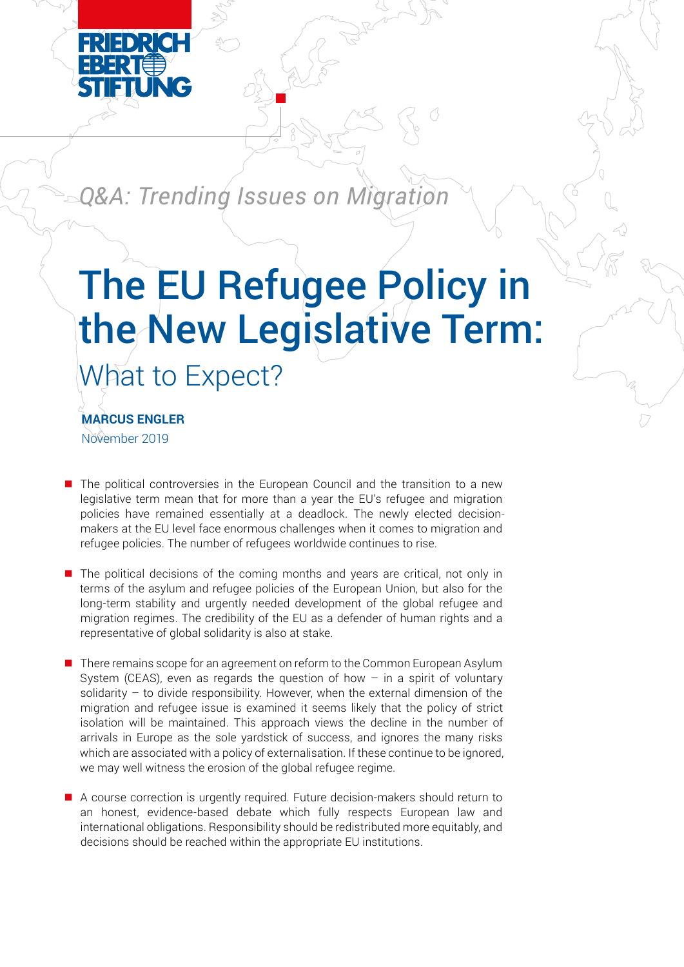

*Q&A: Trending Issues on Migration*

# What to Expect? The EU Refugee Policy in the New Legislative Term:

November 2019 **MARCUS ENGLER** 

- $\blacksquare$  The political controversies in the European Council and the transition to a new legislative term mean that for more than a year the EU's refugee and migration policies have remained essentially at a deadlock. The newly elected decisionmakers at the EU level face enormous challenges when it comes to migration and refugee policies. The number of refugees worldwide continues to rise.
- $\blacksquare$  The political decisions of the coming months and years are critical, not only in terms of the asylum and refugee policies of the European Union, but also for the long-term stability and urgently needed development of the global refugee and migration regimes. The credibility of the EU as a defender of human rights and a representative of global solidarity is also at stake.
- $\blacksquare$  There remains scope for an agreement on reform to the Common European Asylum System (CEAS), even as regards the question of how  $-$  in a spirit of voluntary solidarity – to divide responsibility. However, when the external dimension of the migration and refugee issue is examined it seems likely that the policy of strict isolation will be maintained. This approach views the decline in the number of arrivals in Europe as the sole yardstick of success, and ignores the many risks which are associated with a policy of externalisation. If these continue to be ignored, we may well witness the erosion of the global refugee regime.
- $\blacksquare$  A course correction is urgently required. Future decision-makers should return to an honest, evidence-based debate which fully respects European law and international obligations. Responsibility should be redistributed more equitably, and decisions should be reached within the appropriate EU institutions.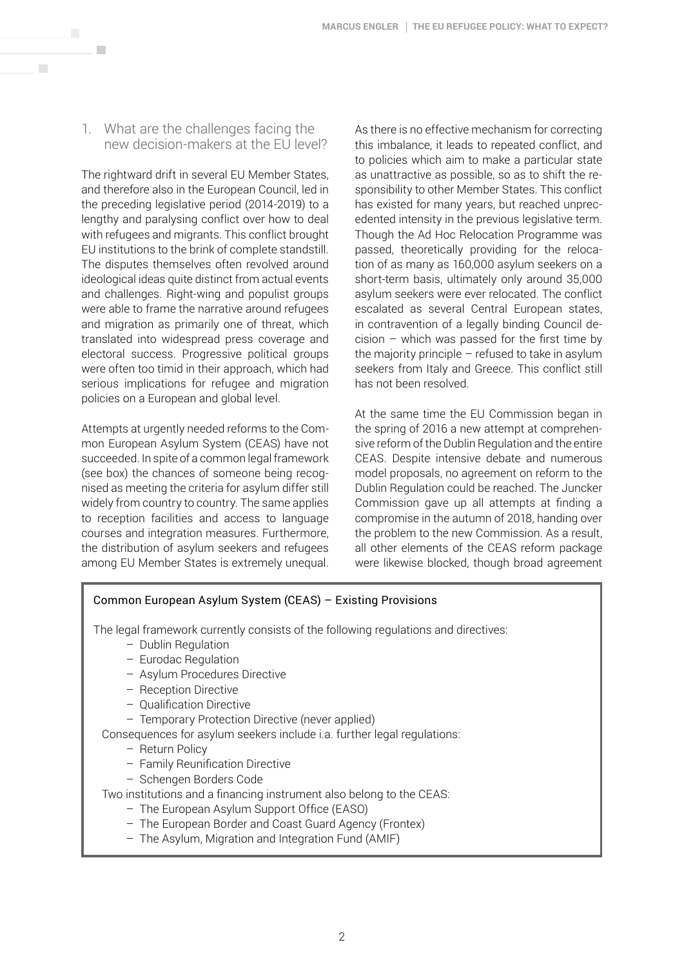1. What are the challenges facing the new decision-makers at the EU level?

 $\mathcal{L}_{\mathcal{A}}$ 

 $\overline{\phantom{a}}$ 

The rightward drift in several EU Member States, and therefore also in the European Council, led in the preceding legislative period (2014-2019) to a lengthy and paralysing conflict over how to deal with refugees and migrants. This conflict brought EU institutions to the brink of complete standstill. The disputes themselves often revolved around ideological ideas quite distinct from actual events and challenges. Right-wing and populist groups were able to frame the narrative around refugees and migration as primarily one of threat, which translated into widespread press coverage and electoral success. Progressive political groups were often too timid in their approach, which had serious implications for refugee and migration policies on a European and global level.

Attempts at urgently needed reforms to the Common European Asylum System (CEAS) have not succeeded. In spite of a common legal framework (see box) the chances of someone being recognised as meeting the criteria for asylum differ still widely from country to country. The same applies to reception facilities and access to language courses and integration measures. Furthermore, the distribution of asylum seekers and refugees among EU Member States is extremely unequal. As there is no effective mechanism for correcting this imbalance, it leads to repeated conflict, and to policies which aim to make a particular state as unattractive as possible, so as to shift the responsibility to other Member States. This conflict has existed for many years, but reached unprecedented intensity in the previous legislative term. Though the Ad Hoc Relocation Programme was passed, theoretically providing for the relocation of as many as 160,000 asylum seekers on a short-term basis, ultimately only around 35,000 asylum seekers were ever relocated. The conflict escalated as several Central European states, in contravention of a legally binding Council decision – which was passed for the first time by the majority principle – refused to take in asylum seekers from Italy and Greece. This conflict still has not been resolved.

At the same time the EU Commission began in the spring of 2016 a new attempt at comprehensive reform of the Dublin Regulation and the entire CEAS. Despite intensive debate and numerous model proposals, no agreement on reform to the Dublin Regulation could be reached. The Juncker Commission gave up all attempts at finding a compromise in the autumn of 2018, handing over the problem to the new Commission. As a result, all other elements of the CEAS reform package were likewise blocked, though broad agreement

## Common European Asylum System (CEAS) – Existing Provisions

The legal framework currently consists of the following regulations and directives:

- Dublin Regulation
- Eurodac Regulation
- Asylum Procedures Directive
- Reception Directive
- Qualification Directive
- Temporary Protection Directive (never applied)

Consequences for asylum seekers include i.a. further legal regulations:

- Return Policy
- Family Reunification Directive
- Schengen Borders Code

Two institutions and a financing instrument also belong to the CEAS:

- The European Asylum Support Office (EASO)
- The European Border and Coast Guard Agency (Frontex)
- The Asylum, Migration and Integration Fund (AMIF)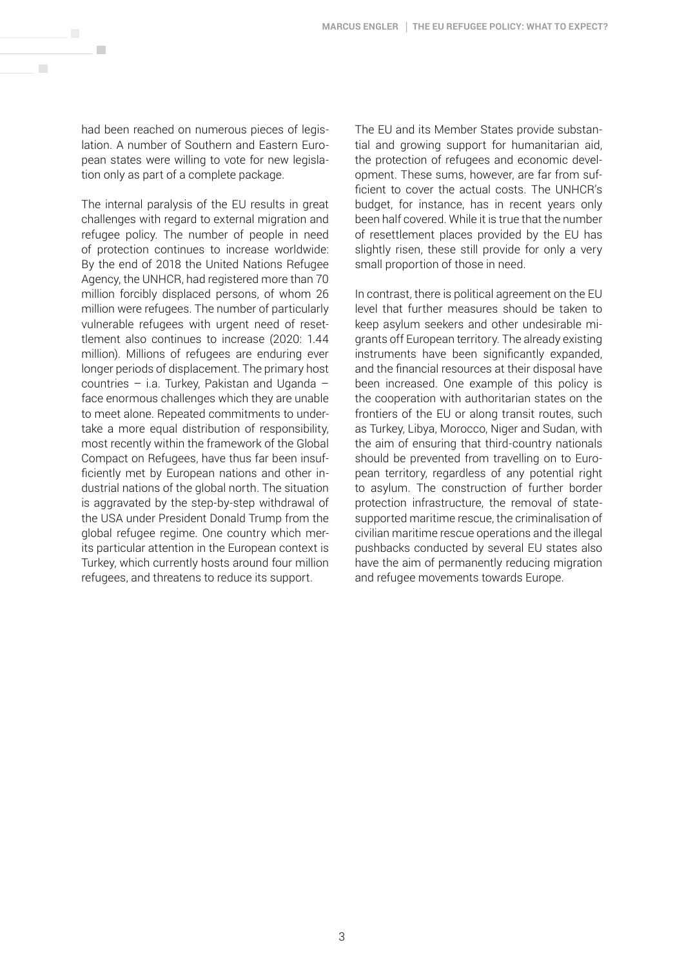had been reached on numerous pieces of legislation. A number of Southern and Eastern European states were willing to vote for new legislation only as part of a complete package.

 $\mathcal{L}_{\mathcal{A}}$ 

 $\mathcal{C}^{\mathcal{A}}$ 

The internal paralysis of the EU results in great challenges with regard to external migration and refugee policy. The number of people in need of protection continues to increase worldwide: By the end of 2018 the United Nations Refugee Agency, the UNHCR, had registered more than 70 million forcibly displaced persons, of whom 26 million were refugees. The number of particularly vulnerable refugees with urgent need of resettlement also continues to increase (2020: 1.44 million). Millions of refugees are enduring ever longer periods of displacement. The primary host countries – i.a. Turkey, Pakistan and Uganda – face enormous challenges which they are unable to meet alone. Repeated commitments to undertake a more equal distribution of responsibility, most recently within the framework of the Global Compact on Refugees, have thus far been insufficiently met by European nations and other industrial nations of the global north. The situation is aggravated by the step-by-step withdrawal of the USA under President Donald Trump from the global refugee regime. One country which merits particular attention in the European context is Turkey, which currently hosts around four million refugees, and threatens to reduce its support.

The EU and its Member States provide substantial and growing support for humanitarian aid, the protection of refugees and economic development. These sums, however, are far from sufficient to cover the actual costs. The UNHCR's budget, for instance, has in recent years only been half covered. While it is true that the number of resettlement places provided by the EU has slightly risen, these still provide for only a very small proportion of those in need.

In contrast, there is political agreement on the EU level that further measures should be taken to keep asylum seekers and other undesirable migrants off European territory. The already existing instruments have been significantly expanded, and the financial resources at their disposal have been increased. One example of this policy is the cooperation with authoritarian states on the frontiers of the EU or along transit routes, such as Turkey, Libya, Morocco, Niger and Sudan, with the aim of ensuring that third-country nationals should be prevented from travelling on to European territory, regardless of any potential right to asylum. The construction of further border protection infrastructure, the removal of statesupported maritime rescue, the criminalisation of civilian maritime rescue operations and the illegal pushbacks conducted by several EU states also have the aim of permanently reducing migration and refugee movements towards Europe.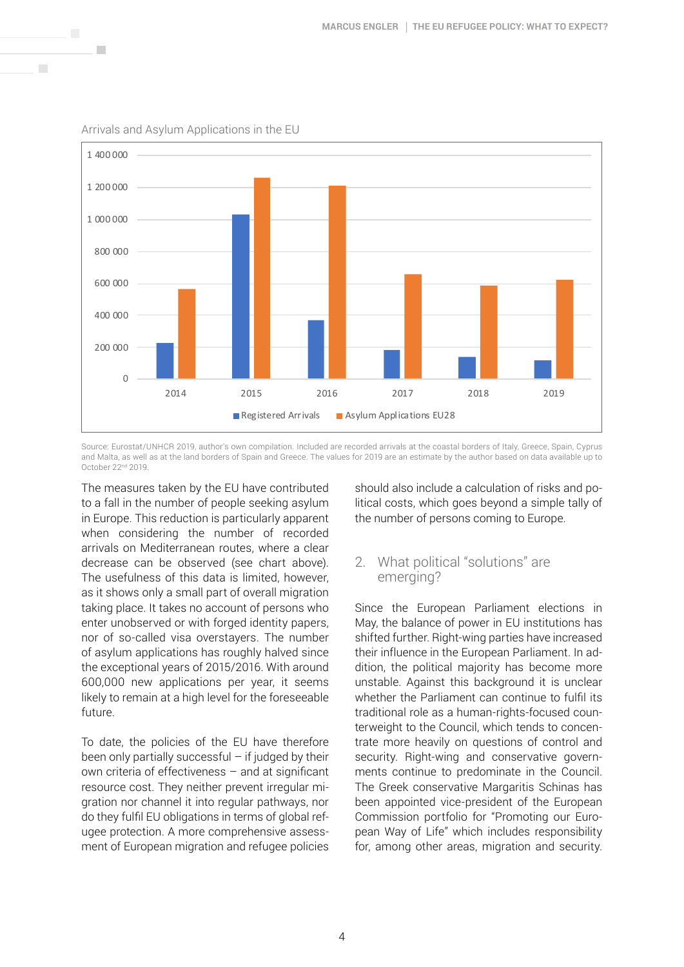

Arrivals and Asylum Applications in the EU

**COL** 

Source: Eurostat/UNHCR 2019, author's own compilation. Included are recorded arrivals at the coastal borders of Italy, Greece, Spain, Cyprus and Malta, as well as at the land borders of Spain and Greece. The values for 2019 are an estimate by the author based on data available up to October 22nd 2019.

The measures taken by the EU have contributed to a fall in the number of people seeking asylum in Europe. This reduction is particularly apparent when considering the number of recorded arrivals on Mediterranean routes, where a clear decrease can be observed (see chart above). The usefulness of this data is limited, however, as it shows only a small part of overall migration taking place. It takes no account of persons who enter unobserved or with forged identity papers, nor of so-called visa overstayers. The number of asylum applications has roughly halved since the exceptional years of 2015/2016. With around 600,000 new applications per year, it seems likely to remain at a high level for the foreseeable future.

To date, the policies of the EU have therefore been only partially successful  $-$  if judged by their own criteria of effectiveness – and at significant resource cost. They neither prevent irregular migration nor channel it into regular pathways, nor do they fulfil EU obligations in terms of global refugee protection. A more comprehensive assessment of European migration and refugee policies

should also include a calculation of risks and political costs, which goes beyond a simple tally of the number of persons coming to Europe.

# 2. What political "solutions" are emerging?

Since the European Parliament elections in May, the balance of power in EU institutions has shifted further. Right-wing parties have increased their influence in the European Parliament. In addition, the political majority has become more unstable. Against this background it is unclear whether the Parliament can continue to fulfil its traditional role as a human-rights-focused counterweight to the Council, which tends to concentrate more heavily on questions of control and security. Right-wing and conservative governments continue to predominate in the Council. The Greek conservative Margaritis Schinas has been appointed vice-president of the European Commission portfolio for "Promoting our European Way of Life" which includes responsibility for, among other areas, migration and security.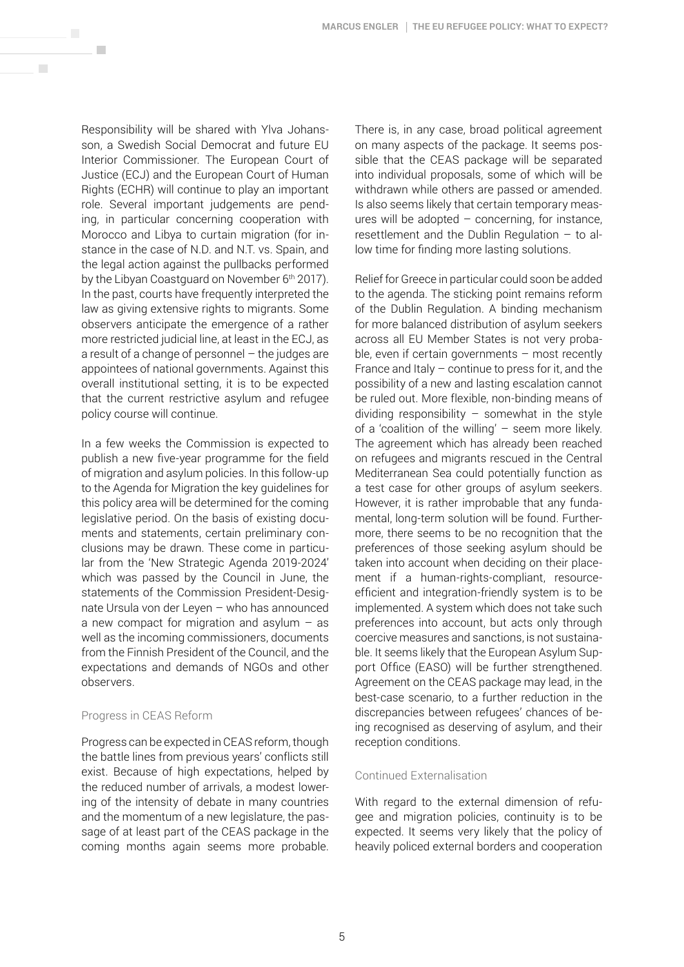Responsibility will be shared with Ylva Johansson, a Swedish Social Democrat and future EU Interior Commissioner. The European Court of Justice (ECJ) and the European Court of Human Rights (ECHR) will continue to play an important role. Several important judgements are pending, in particular concerning cooperation with Morocco and Libya to curtain migration (for instance in the case of N.D. and N.T. vs. Spain, and the legal action against the pullbacks performed by the Libyan Coastguard on November 6<sup>th</sup> 2017). In the past, courts have frequently interpreted the law as giving extensive rights to migrants. Some observers anticipate the emergence of a rather more restricted judicial line, at least in the ECJ, as a result of a change of personnel – the judges are appointees of national governments. Against this overall institutional setting, it is to be expected that the current restrictive asylum and refugee policy course will continue.

**COL** 

 $\overline{\phantom{a}}$ 

In a few weeks the Commission is expected to publish a new five-year programme for the field of migration and asylum policies. In this follow-up to the Agenda for Migration the key guidelines for this policy area will be determined for the coming legislative period. On the basis of existing documents and statements, certain preliminary conclusions may be drawn. These come in particular from the 'New Strategic Agenda 2019-2024' which was passed by the Council in June, the statements of the Commission President-Designate Ursula von der Leyen – who has announced a new compact for migration and asylum  $-$  as well as the incoming commissioners, documents from the Finnish President of the Council, and the expectations and demands of NGOs and other observers.

## Progress in CEAS Reform

Progress can be expected in CEAS reform, though the battle lines from previous years' conflicts still exist. Because of high expectations, helped by the reduced number of arrivals, a modest lowering of the intensity of debate in many countries and the momentum of a new legislature, the passage of at least part of the CEAS package in the coming months again seems more probable.

There is, in any case, broad political agreement on many aspects of the package. It seems possible that the CEAS package will be separated into individual proposals, some of which will be withdrawn while others are passed or amended. Is also seems likely that certain temporary measures will be adopted  $-$  concerning, for instance, resettlement and the Dublin Regulation – to allow time for finding more lasting solutions.

Relief for Greece in particular could soon be added to the agenda. The sticking point remains reform of the Dublin Regulation. A binding mechanism for more balanced distribution of asylum seekers across all EU Member States is not very probable, even if certain governments  $-$  most recently France and Italy  $-$  continue to press for it, and the possibility of a new and lasting escalation cannot be ruled out. More flexible, non-binding means of dividing responsibility  $-$  somewhat in the style of a 'coalition of the willing' – seem more likely. The agreement which has already been reached on refugees and migrants rescued in the Central Mediterranean Sea could potentially function as a test case for other groups of asylum seekers. However, it is rather improbable that any fundamental, long-term solution will be found. Furthermore, there seems to be no recognition that the preferences of those seeking asylum should be taken into account when deciding on their placement if a human-rights-compliant, resourceefficient and integration-friendly system is to be implemented. A system which does not take such preferences into account, but acts only through coercive measures and sanctions, is not sustainable. It seems likely that the European Asylum Support Office (EASO) will be further strengthened. Agreement on the CEAS package may lead, in the best-case scenario, to a further reduction in the discrepancies between refugees' chances of being recognised as deserving of asylum, and their reception conditions.

## Continued Externalisation

With regard to the external dimension of refugee and migration policies, continuity is to be expected. It seems very likely that the policy of heavily policed external borders and cooperation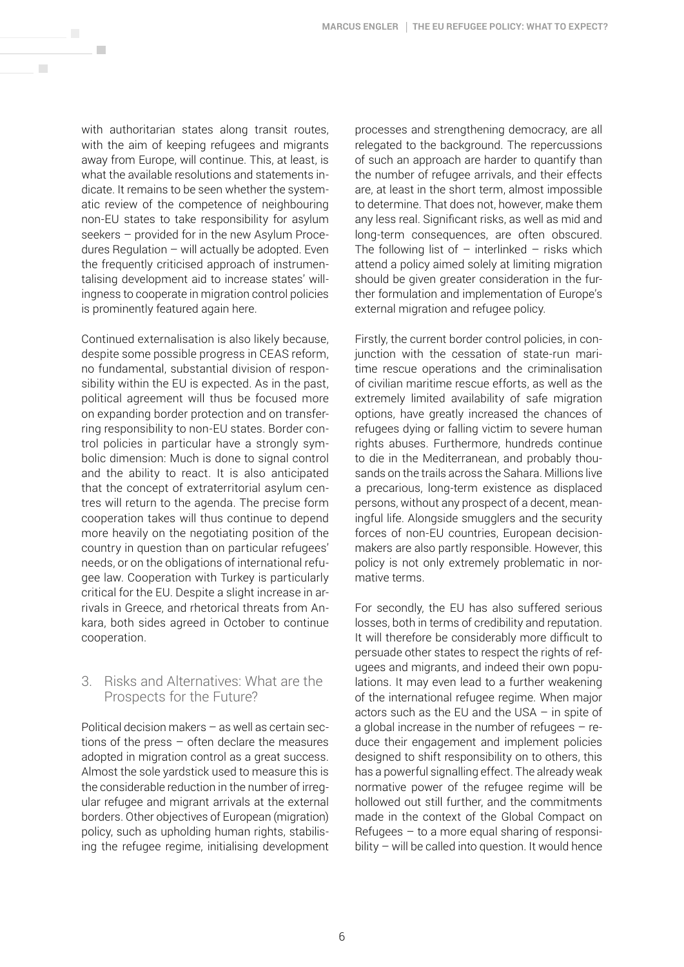with authoritarian states along transit routes, with the aim of keeping refugees and migrants away from Europe, will continue. This, at least, is what the available resolutions and statements indicate. It remains to be seen whether the systematic review of the competence of neighbouring non-EU states to take responsibility for asylum seekers – provided for in the new Asylum Procedures Regulation – will actually be adopted. Even the frequently criticised approach of instrumentalising development aid to increase states' willingness to cooperate in migration control policies is prominently featured again here.

**COL** 

 $\overline{\phantom{a}}$ 

Continued externalisation is also likely because, despite some possible progress in CEAS reform, no fundamental, substantial division of responsibility within the EU is expected. As in the past, political agreement will thus be focused more on expanding border protection and on transferring responsibility to non-EU states. Border control policies in particular have a strongly symbolic dimension: Much is done to signal control and the ability to react. It is also anticipated that the concept of extraterritorial asylum centres will return to the agenda. The precise form cooperation takes will thus continue to depend more heavily on the negotiating position of the country in question than on particular refugees' needs, or on the obligations of international refugee law. Cooperation with Turkey is particularly critical for the EU. Despite a slight increase in arrivals in Greece, and rhetorical threats from Ankara, both sides agreed in October to continue cooperation.

# 3. Risks and Alternatives: What are the Prospects for the Future?

Political decision makers – as well as certain sections of the press – often declare the measures adopted in migration control as a great success. Almost the sole yardstick used to measure this is the considerable reduction in the number of irregular refugee and migrant arrivals at the external borders. Other objectives of European (migration) policy, such as upholding human rights, stabilising the refugee regime, initialising development processes and strengthening democracy, are all relegated to the background. The repercussions of such an approach are harder to quantify than the number of refugee arrivals, and their effects are, at least in the short term, almost impossible to determine. That does not, however, make them any less real. Significant risks, as well as mid and long-term consequences, are often obscured. The following list of  $-$  interlinked  $-$  risks which attend a policy aimed solely at limiting migration should be given greater consideration in the further formulation and implementation of Europe's external migration and refugee policy.

Firstly, the current border control policies, in conjunction with the cessation of state-run maritime rescue operations and the criminalisation of civilian maritime rescue efforts, as well as the extremely limited availability of safe migration options, have greatly increased the chances of refugees dying or falling victim to severe human rights abuses. Furthermore, hundreds continue to die in the Mediterranean, and probably thousands on the trails across the Sahara. Millions live a precarious, long-term existence as displaced persons, without any prospect of a decent, meaningful life. Alongside smugglers and the security forces of non-EU countries, European decisionmakers are also partly responsible. However, this policy is not only extremely problematic in normative terms.

For secondly, the EU has also suffered serious losses, both in terms of credibility and reputation. It will therefore be considerably more difficult to persuade other states to respect the rights of refugees and migrants, and indeed their own populations. It may even lead to a further weakening of the international refugee regime. When major actors such as the EU and the USA – in spite of a global increase in the number of refugees – reduce their engagement and implement policies designed to shift responsibility on to others, this has a powerful signalling effect. The already weak normative power of the refugee regime will be hollowed out still further, and the commitments made in the context of the Global Compact on Refugees  $-$  to a more equal sharing of responsibility – will be called into question. It would hence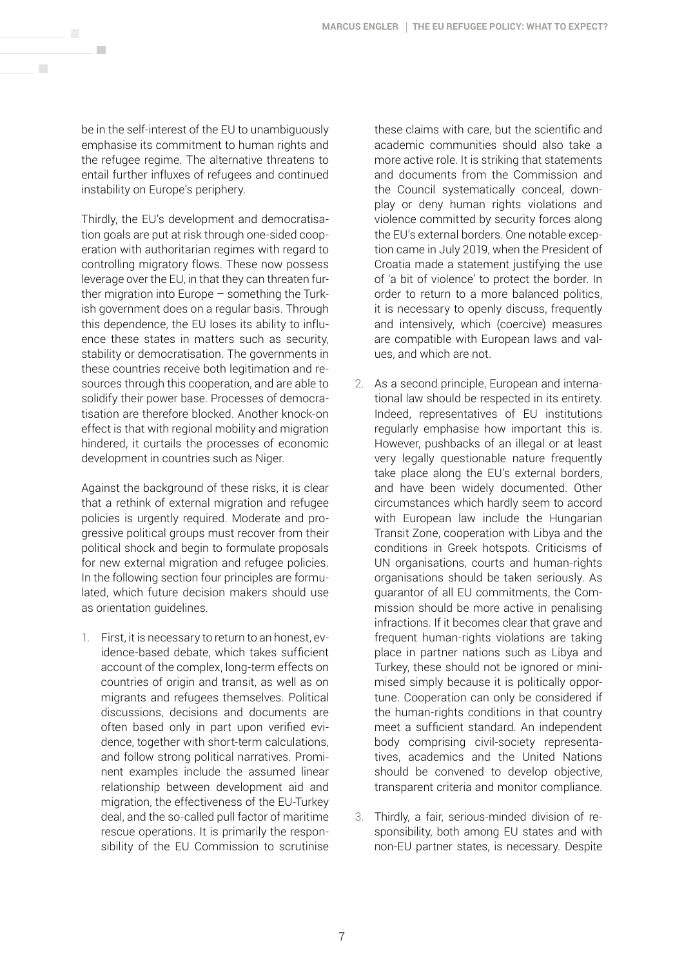be in the self-interest of the EU to unambiguously emphasise its commitment to human rights and the refugee regime. The alternative threatens to entail further influxes of refugees and continued instability on Europe's periphery.

 $\mathcal{L}_{\mathcal{A}}$ 

 $\overline{\phantom{a}}$ 

Thirdly, the EU's development and democratisation goals are put at risk through one-sided cooperation with authoritarian regimes with regard to controlling migratory flows. These now possess leverage over the EU, in that they can threaten further migration into Europe – something the Turkish government does on a regular basis. Through this dependence, the EU loses its ability to influence these states in matters such as security, stability or democratisation. The governments in these countries receive both legitimation and resources through this cooperation, and are able to solidify their power base. Processes of democratisation are therefore blocked. Another knock-on effect is that with regional mobility and migration hindered, it curtails the processes of economic development in countries such as Niger.

Against the background of these risks, it is clear that a rethink of external migration and refugee policies is urgently required. Moderate and progressive political groups must recover from their political shock and begin to formulate proposals for new external migration and refugee policies. In the following section four principles are formulated, which future decision makers should use as orientation guidelines.

1. First, it is necessary to return to an honest, evidence-based debate, which takes sufficient account of the complex, long-term effects on countries of origin and transit, as well as on migrants and refugees themselves. Political discussions, decisions and documents are often based only in part upon verified evidence, together with short-term calculations, and follow strong political narratives. Prominent examples include the assumed linear relationship between development aid and migration, the effectiveness of the EU-Turkey deal, and the so-called pull factor of maritime rescue operations. It is primarily the responsibility of the EU Commission to scrutinise these claims with care, but the scientific and academic communities should also take a more active role. It is striking that statements and documents from the Commission and the Council systematically conceal, downplay or deny human rights violations and violence committed by security forces along the EU's external borders. One notable exception came in July 2019, when the President of Croatia made a statement justifying the use of 'a bit of violence' to protect the border. In order to return to a more balanced politics, it is necessary to openly discuss, frequently and intensively, which (coercive) measures are compatible with European laws and values, and which are not.

- 2. As a second principle, European and international law should be respected in its entirety. Indeed, representatives of EU institutions regularly emphasise how important this is. However, pushbacks of an illegal or at least very legally questionable nature frequently take place along the EU's external borders, and have been widely documented. Other circumstances which hardly seem to accord with European law include the Hungarian Transit Zone, cooperation with Libya and the conditions in Greek hotspots. Criticisms of UN organisations, courts and human-rights organisations should be taken seriously. As guarantor of all EU commitments, the Commission should be more active in penalising infractions. If it becomes clear that grave and frequent human-rights violations are taking place in partner nations such as Libya and Turkey, these should not be ignored or minimised simply because it is politically opportune. Cooperation can only be considered if the human-rights conditions in that country meet a sufficient standard. An independent body comprising civil-society representatives, academics and the United Nations should be convened to develop objective, transparent criteria and monitor compliance.
- 3. Thirdly, a fair, serious-minded division of responsibility, both among EU states and with non-EU partner states, is necessary. Despite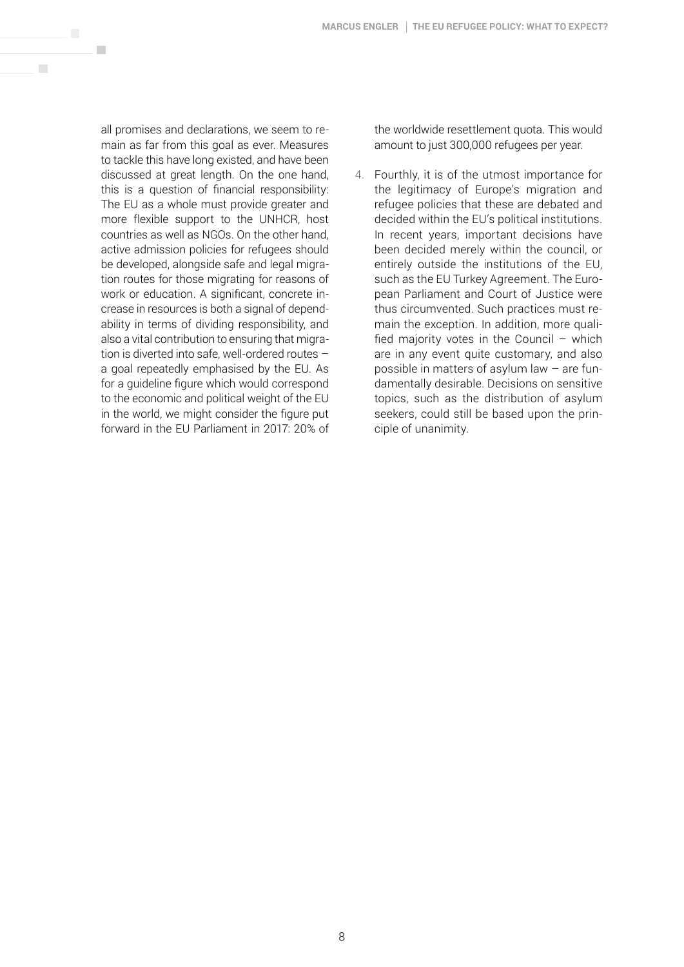all promises and declarations, we seem to remain as far from this goal as ever. Measures to tackle this have long existed, and have been discussed at great length. On the one hand, this is a question of financial responsibility: The EU as a whole must provide greater and more flexible support to the UNHCR, host countries as well as NGOs. On the other hand, active admission policies for refugees should be developed, alongside safe and legal migration routes for those migrating for reasons of work or education. A significant, concrete increase in resources is both a signal of dependability in terms of dividing responsibility, and also a vital contribution to ensuring that migration is diverted into safe, well-ordered routes – a goal repeatedly emphasised by the EU. As for a guideline figure which would correspond to the economic and political weight of the EU in the world, we might consider the figure put forward in the EU Parliament in 2017: 20% of

 $\mathcal{L}_{\mathcal{A}}$ 

 $\mathcal{C}^{\mathcal{A}}$ 

the worldwide resettlement quota. This would amount to just 300,000 refugees per year.

4. Fourthly, it is of the utmost importance for the legitimacy of Europe's migration and refugee policies that these are debated and decided within the EU's political institutions. In recent years, important decisions have been decided merely within the council, or entirely outside the institutions of the EU, such as the EU Turkey Agreement. The European Parliament and Court of Justice were thus circumvented. Such practices must remain the exception. In addition, more qualified majority votes in the Council  $-$  which are in any event quite customary, and also possible in matters of asylum law – are fundamentally desirable. Decisions on sensitive topics, such as the distribution of asylum seekers, could still be based upon the principle of unanimity.